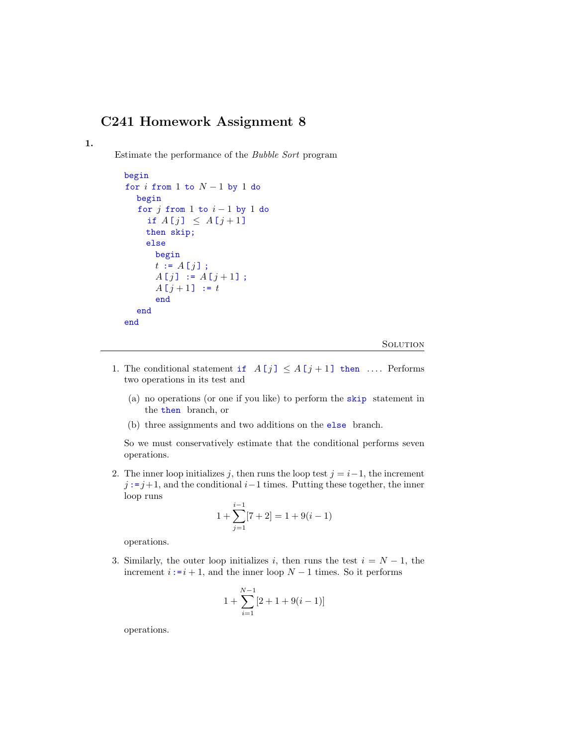# C241 Homework Assignment 8

1.

Estimate the performance of the Bubble Sort program

```
begin
for i from 1 to N-1 by 1 do
  begin
  for j from 1 to i - 1 by 1 do
    if A[j] \leq A[j+1]then skip;
    else
      begin
      t := A[j];
      A[j] := A[j+1];
      A[j + 1] := tend
  end
end
```
**SOLUTION** 

- 1. The conditional statement if  $A[j] \leq A[j+1]$  then .... Performs two operations in its test and
	- (a) no operations (or one if you like) to perform the skip statement in the then branch, or
	- (b) three assignments and two additions on the else branch.

So we must conservatively estimate that the conditional performs seven operations.

2. The inner loop initializes j, then runs the loop test  $j = i-1$ , the increment  $j := j+1$ , and the conditional  $i-1$  times. Putting these together, the inner loop runs

$$
1 + \sum_{j=1}^{i-1} [7 + 2] = 1 + 9(i - 1)
$$

operations.

3. Similarly, the outer loop initializes i, then runs the test  $i = N - 1$ , the increment  $i:=i+1$ , and the inner loop  $N-1$  times. So it performs

$$
1 + \sum_{i=1}^{N-1} [2 + 1 + 9(i - 1)]
$$

operations.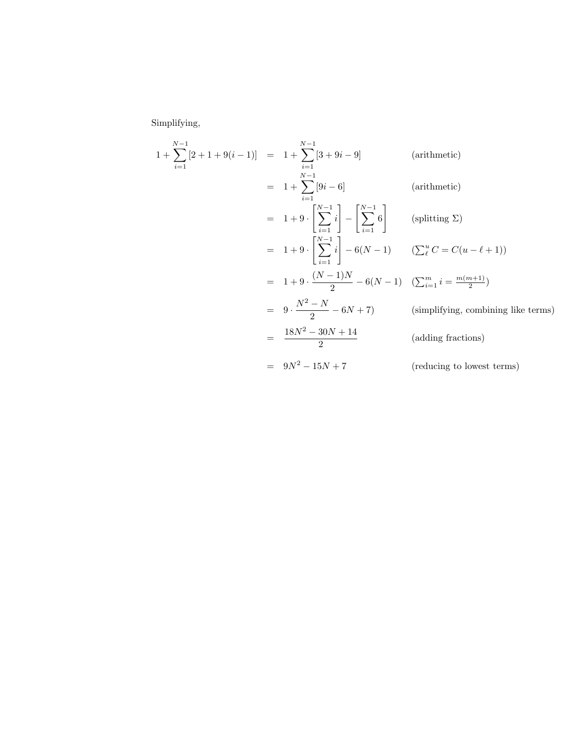Simplifying,

$$
1 + \sum_{i=1}^{N-1} [2 + 1 + 9(i - 1)] = 1 + \sum_{i=1}^{N-1} [3 + 9i - 9]
$$
 (arithmetic)  
\n
$$
= 1 + \sum_{i=1}^{N-1} [9i - 6]
$$
 (arithmetic)  
\n
$$
= 1 + 9 \cdot \left[ \sum_{i=1}^{N-1} i \right] - \left[ \sum_{i=1}^{N-1} 6 \right]
$$
 (splitting  $\Sigma$ )  
\n
$$
= 1 + 9 \cdot \left[ \sum_{i=1}^{N-1} i \right] - 6(N - 1)
$$
 ( $\sum_{i=1}^{u} C = C(u - \ell + 1)$ )  
\n
$$
= 1 + 9 \cdot \frac{(N - 1)N}{2} - 6(N - 1)
$$
 ( $\sum_{i=1}^{m} i = \frac{m(m+1)}{2}$ )  
\n
$$
= 9 \cdot \frac{N^2 - N}{2} - 6N + 7
$$
 (simplifying, combining like terms)  
\n
$$
= \frac{18N^2 - 30N + 14}{2}
$$
 (adding fractions)  
\n
$$
= 9N^2 - 15N + 7
$$
 (reducing to lowest terms)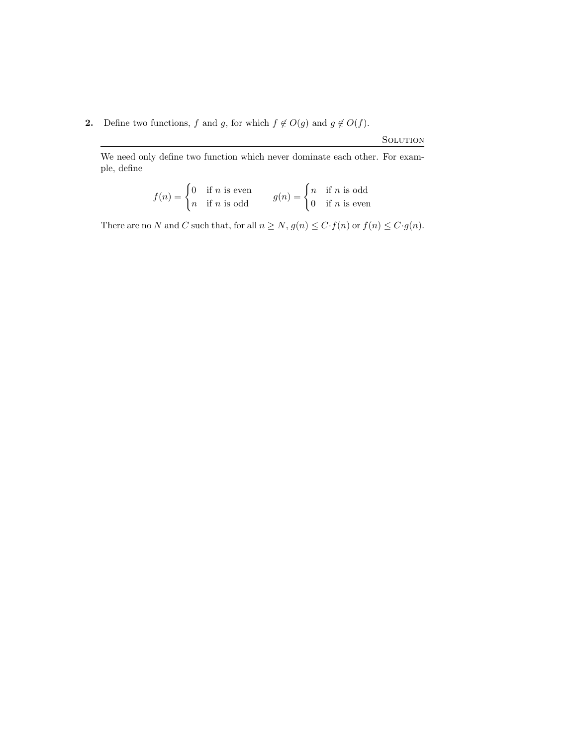## 2. Define two functions, f and g, for which  $f \notin O(g)$  and  $g \notin O(f)$ .

**SOLUTION** 

We need only define two function which never dominate each other. For example, define

$$
f(n) = \begin{cases} 0 & \text{if } n \text{ is even} \\ n & \text{if } n \text{ is odd} \end{cases} \qquad g(n) = \begin{cases} n & \text{if } n \text{ is odd} \\ 0 & \text{if } n \text{ is even} \end{cases}
$$

There are no N and C such that, for all  $n \ge N$ ,  $g(n) \le C \cdot f(n)$  or  $f(n) \le C \cdot g(n)$ .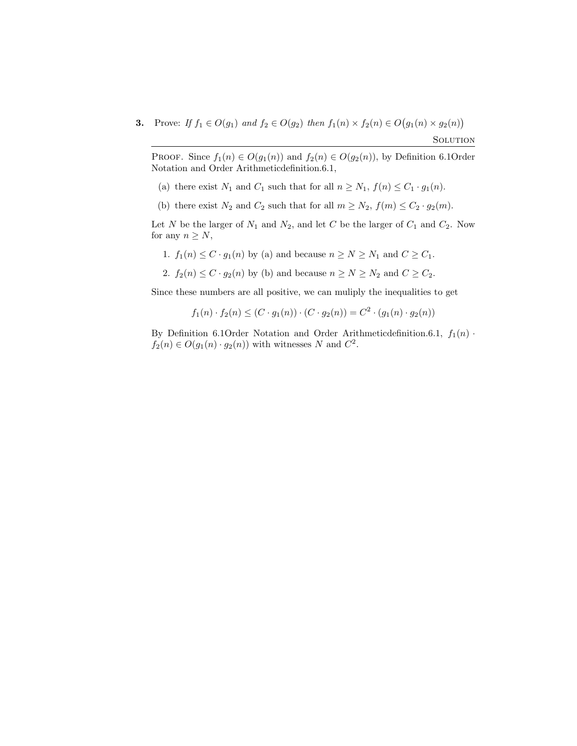**3.** Prove: If  $f_1 \in O(g_1)$  and  $f_2 \in O(g_2)$  then  $f_1(n) \times f_2(n) \in O(g_1(n) \times g_2(n))$ 

Solution

PROOF. Since  $f_1(n) \in O(g_1(n))$  and  $f_2(n) \in O(g_2(n))$ , by Definition 6.10rder Notation and Order Arithmeticdefinition.6.1,

- (a) there exist  $N_1$  and  $C_1$  such that for all  $n \ge N_1$ ,  $f(n) \le C_1 \cdot g_1(n)$ .
- (b) there exist  $N_2$  and  $C_2$  such that for all  $m \ge N_2$ ,  $f(m) \le C_2 \cdot g_2(m)$ .

Let N be the larger of  $N_1$  and  $N_2$ , and let C be the larger of  $C_1$  and  $C_2$ . Now for any  $n \geq N$ ,

- 1.  $f_1(n) \leq C \cdot g_1(n)$  by (a) and because  $n \geq N \geq N_1$  and  $C \geq C_1$ .
- 2.  $f_2(n) \leq C \cdot g_2(n)$  by (b) and because  $n \geq N \geq N_2$  and  $C \geq C_2$ .

Since these numbers are all positive, we can muliply the inequalities to get

$$
f_1(n) \cdot f_2(n) \le (C \cdot g_1(n)) \cdot (C \cdot g_2(n)) = C^2 \cdot (g_1(n) \cdot g_2(n))
$$

By Definition 6.1Order Notation and Order Arithmetic<br>definition.6.1,  $f_1(n)$  ·  $f_2(n) \in O(g_1(n) \cdot g_2(n))$  with witnesses N and  $C^2$ .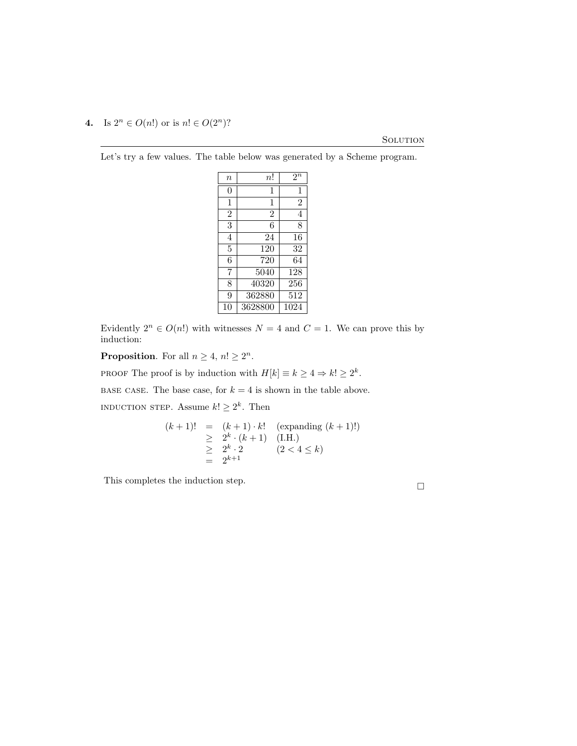### 4. Is  $2^n \in O(n!)$  or is  $n! \in O(2^n)$ ?

### **SOLUTION**

Let's try a few values. The table below was generated by a Scheme program.

| $\it n$        | n!             | $2^n$          |
|----------------|----------------|----------------|
| 0              | 1              | 1              |
| 1              | 1              | $\overline{2}$ |
| $\overline{2}$ | $\overline{2}$ | $\overline{4}$ |
| 3              | 6              | 8              |
| 4              | 24             | 16             |
| 5              | 120            | 32             |
| 6              | 720            | 64             |
| 7              | 5040           | 128            |
| 8              | 40320          | 256            |
| 9              | 362880         | 512            |
| 10             | 3628800        | 1024           |

Evidently  $2^n \in O(n!)$  with witnesses  $N = 4$  and  $C = 1$ . We can prove this by induction:

**Proposition.** For all  $n \geq 4$ ,  $n! \geq 2^n$ .

PROOF The proof is by induction with  $H[k] \equiv k \ge 4 \Rightarrow k! \ge 2^k$ .

BASE CASE. The base case, for  $k = 4$  is shown in the table above.

INDUCTION STEP. Assume  $k! \geq 2^k$ . Then

$$
(k+1)! = (k+1) \cdot k! \quad \text{(expanding } (k+1)!)
$$
\n
$$
\geq 2^{k} \cdot (k+1) \quad \text{(I.H.)}
$$
\n
$$
\geq 2^{k} \cdot 2 \qquad (2 < 4 \leq k)
$$
\n
$$
= 2^{k+1}
$$

This completes the induction step.  $\hfill \square$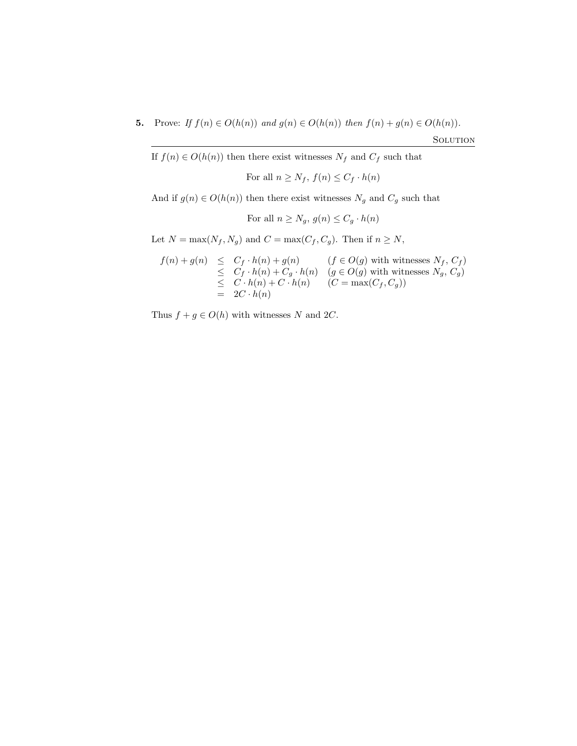5. Prove: If  $f(n) \in O(h(n))$  and  $g(n) \in O(h(n))$  then  $f(n) + g(n) \in O(h(n))$ .

If  $f(n) \in O(h(n))$  then there exist witnesses  $N_f$  and  $C_f$  such that

For all 
$$
n \ge N_f
$$
,  $f(n) \le C_f \cdot h(n)$ 

And if  $g(n) \in O(h(n))$  then there exist witnesses  $N_g$  and  $C_g$  such that

For all 
$$
n \ge N_g
$$
,  $g(n) \le C_g \cdot h(n)$ 

Let  $N = \max(N_f, N_g)$  and  $C = \max(C_f, C_g)$ . Then if  $n \ge N$ ,

$$
f(n) + g(n) \leq C_f \cdot h(n) + g(n) \qquad (f \in O(g) \text{ with witnesses } N_f, C_f)
$$
  
\n
$$
\leq C_f \cdot h(n) + C_g \cdot h(n) \qquad (g \in O(g) \text{ with witnesses } N_g, C_g)
$$
  
\n
$$
\leq C \cdot h(n) + C \cdot h(n) \qquad (C = \max(C_f, C_g))
$$
  
\n
$$
= 2C \cdot h(n)
$$

Thus  $f + g \in O(h)$  with witnesses N and 2C.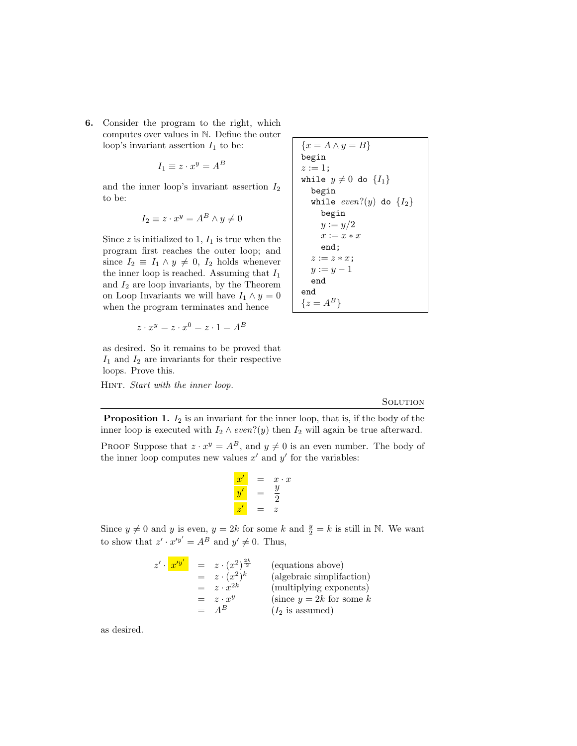6. Consider the program to the right, which computes over values in N. Define the outer loop's invariant assertion  $I_1$  to be:

$$
I_1 \equiv z \cdot x^y = A^B
$$

and the inner loop's invariant assertion  $I_2$ to be:

$$
I_2 \equiv z \cdot x^y = A^B \wedge y \neq 0
$$

Since  $z$  is initialized to 1,  $I_1$  is true when the program first reaches the outer loop; and since  $I_2 \equiv I_1 \wedge y \neq 0$ ,  $I_2$  holds whenever the inner loop is reached. Assuming that  $I_1$ and  $I_2$  are loop invariants, by the Theorem on Loop Invariants we will have  $I_1 \wedge y = 0$ when the program terminates and hence

$$
z \cdot x^y = z \cdot x^0 = z \cdot 1 = A^B
$$

as desired. So it remains to be proved that  $I_1$  and  $I_2$  are invariants for their respective loops. Prove this.

HINT. Start with the inner loop.

$$
\{x = A \land y = B\}
$$
  
begin  
 $z := 1$ ;  
while  $y \neq 0$  do  $\{I_1\}$   
begin  
weight  
while *even*? $(y)$  do  $\{I_2\}$   
begin  
 $y := y/2$   
 $x := x * x$   
end;  
 $z := z * x$ ;  
 $y := y - 1$   
end  
end  
 $\{z = A^B\}$ 

#### **SOLUTION**

**Proposition 1.**  $I_2$  is an invariant for the inner loop, that is, if the body of the inner loop is executed with  $I_2 \wedge even?$  (y) then  $I_2$  will again be true afterward.

PROOF Suppose that  $z \cdot x^y = A^B$ , and  $y \neq 0$  is an even number. The body of the inner loop computes new values  $x'$  and  $y'$  for the variables:

$$
\begin{array}{rcl}\nx' & = & x \cdot x \\
y' & = & \frac{y}{2} \\
z' & = & z\n\end{array}
$$

Since  $y \neq 0$  and y is even,  $y = 2k$  for some k and  $\frac{y}{2} = k$  is still in N. We want to show that  $z' \cdot x'^{y'} = A^B$  and  $y' \neq 0$ . Thus,

$$
z' \cdot \overline{x'^{y'}} = z \cdot (x^2)^{\frac{2k}{2}}
$$
 (equations above)  
\n
$$
= z \cdot (x^2)^k
$$
 (algebraic simplification)  
\n
$$
= z \cdot x^{2k}
$$
 (multiplying exponents)  
\n
$$
= z \cdot x^y
$$
 (since  $y = 2k$  for some  $k$   
\n
$$
= A^B
$$
 (I<sub>2</sub> is assumed)

as desired.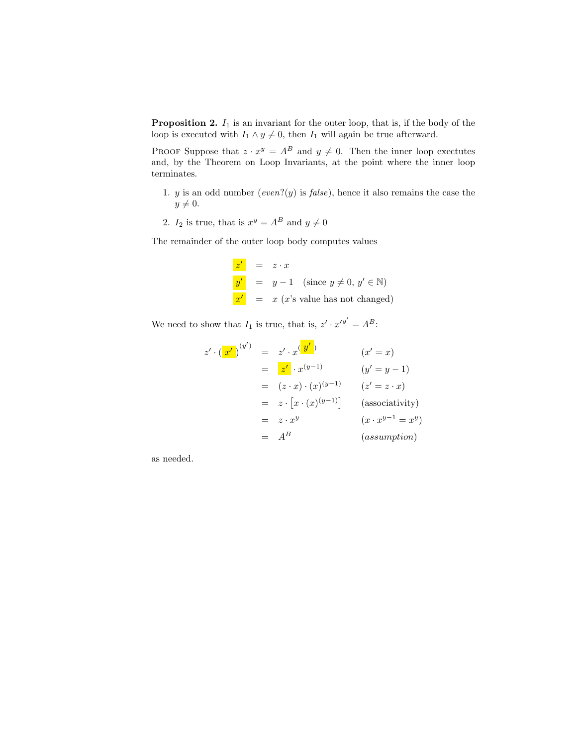**Proposition 2.**  $I_1$  is an invariant for the outer loop, that is, if the body of the loop is executed with  $I_1 \wedge y \neq 0$ , then  $I_1$  will again be true afterward.

PROOF Suppose that  $z \cdot x^y = A^B$  and  $y \neq 0$ . Then the inner loop exectutes and, by the Theorem on Loop Invariants, at the point where the inner loop terminates.

- 1. y is an odd number (even?(y) is  $false$ ), hence it also remains the case the  $y \neq 0.$
- 2.  $I_2$  is true, that is  $x^y = A^B$  and  $y \neq 0$

The remainder of the outer loop body computes values

 $z' = z \cdot x$  $y' = y - 1$  (since  $y \neq 0, y' \in \mathbb{N}$ )  $x' = x$  (x's value has not changed)

We need to show that  $I_1$  is true, that is,  $z' \cdot x'^{y'} = A^B$ :

$$
z' \cdot \left(\frac{x'}{)}^{(y')} = z' \cdot x \frac{(y')}{y} \qquad (x' = x)
$$
  
\n
$$
= \frac{z'}{x} \cdot x^{(y-1)} \qquad (y' = y - 1)
$$
  
\n
$$
= (z \cdot x) \cdot (x)^{(y-1)} \qquad (z' = z \cdot x)
$$
  
\n
$$
= z \cdot [x \cdot (x)^{(y-1)}] \qquad \text{(associativity)}
$$
  
\n
$$
= z \cdot x^y \qquad (x \cdot x^{y-1} = x^y)
$$
  
\n
$$
= A^B \qquad \text{(assumption)}
$$

as needed.